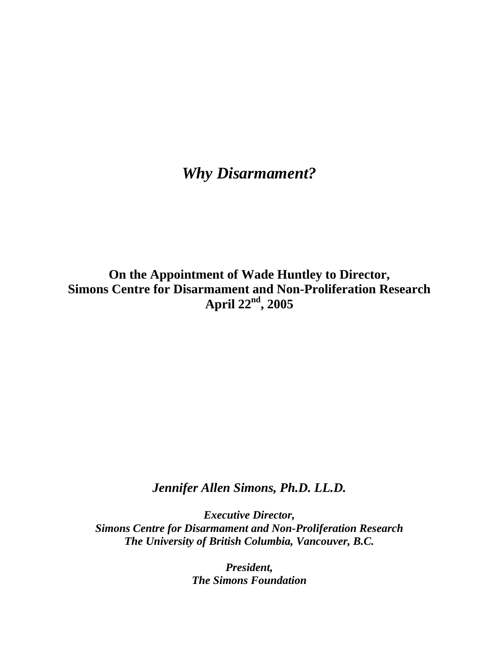## *Why Disarmament?*

**On the Appointment of Wade Huntley to Director, Simons Centre for Disarmament and Non-Proliferation Research April 22nd, 2005** 

*Jennifer Allen Simons, Ph.D. LL.D.*

*Executive Director, Simons Centre for Disarmament and Non-Proliferation Research The University of British Columbia, Vancouver, B.C.* 

> *President, The Simons Foundation*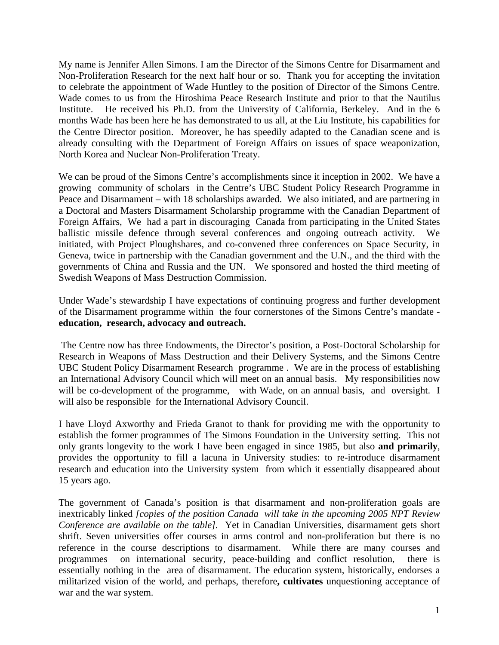My name is Jennifer Allen Simons. I am the Director of the Simons Centre for Disarmament and Non-Proliferation Research for the next half hour or so. Thank you for accepting the invitation to celebrate the appointment of Wade Huntley to the position of Director of the Simons Centre. Wade comes to us from the Hiroshima Peace Research Institute and prior to that the Nautilus Institute. He received his Ph.D. from the University of California, Berkeley. And in the 6 months Wade has been here he has demonstrated to us all, at the Liu Institute, his capabilities for the Centre Director position. Moreover, he has speedily adapted to the Canadian scene and is already consulting with the Department of Foreign Affairs on issues of space weaponization, North Korea and Nuclear Non-Proliferation Treaty.

We can be proud of the Simons Centre's accomplishments since it inception in 2002. We have a growing community of scholars in the Centre's UBC Student Policy Research Programme in Peace and Disarmament – with 18 scholarships awarded. We also initiated, and are partnering in a Doctoral and Masters Disarmament Scholarship programme with the Canadian Department of Foreign Affairs, We had a part in discouraging Canada from participating in the United States ballistic missile defence through several conferences and ongoing outreach activity. We initiated, with Project Ploughshares, and co-convened three conferences on Space Security, in Geneva, twice in partnership with the Canadian government and the U.N., and the third with the governments of China and Russia and the UN. We sponsored and hosted the third meeting of Swedish Weapons of Mass Destruction Commission.

Under Wade's stewardship I have expectations of continuing progress and further development of the Disarmament programme within the four cornerstones of the Simons Centre's mandate **education, research, advocacy and outreach.** 

 The Centre now has three Endowments, the Director's position, a Post-Doctoral Scholarship for Research in Weapons of Mass Destruction and their Delivery Systems, and the Simons Centre UBC Student Policy Disarmament Research programme . We are in the process of establishing an International Advisory Council which will meet on an annual basis. My responsibilities now will be co-development of the programme, with Wade, on an annual basis, and oversight. I will also be responsible for the International Advisory Council.

I have Lloyd Axworthy and Frieda Granot to thank for providing me with the opportunity to establish the former programmes of The Simons Foundation in the University setting. This not only grants longevity to the work I have been engaged in since 1985, but also **and primarily**, provides the opportunity to fill a lacuna in University studies: to re-introduce disarmament research and education into the University system from which it essentially disappeared about 15 years ago.

The government of Canada's position is that disarmament and non-proliferation goals are inextricably linked *[copies of the position Canada will take in the upcoming 2005 NPT Review Conference are available on the table].* Yet in Canadian Universities, disarmament gets short shrift. Seven universities offer courses in arms control and non-proliferation but there is no reference in the course descriptions to disarmament. While there are many courses and programmes on international security, peace-building and conflict resolution, there is essentially nothing in the area of disarmament. The education system, historically, endorses a militarized vision of the world, and perhaps, therefore**, cultivates** unquestioning acceptance of war and the war system.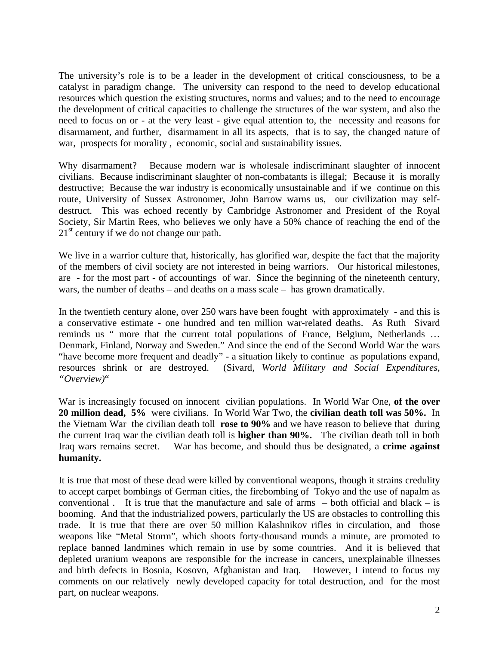The university's role is to be a leader in the development of critical consciousness, to be a catalyst in paradigm change. The university can respond to the need to develop educational resources which question the existing structures, norms and values; and to the need to encourage the development of critical capacities to challenge the structures of the war system, and also the need to focus on or - at the very least - give equal attention to, the necessity and reasons for disarmament, and further, disarmament in all its aspects, that is to say, the changed nature of war, prospects for morality , economic, social and sustainability issues.

Why disarmament? Because modern war is wholesale indiscriminant slaughter of innocent civilians. Because indiscriminant slaughter of non-combatants is illegal; Because it is morally destructive; Because the war industry is economically unsustainable and if we continue on this route, University of Sussex Astronomer, John Barrow warns us, our civilization may selfdestruct. This was echoed recently by Cambridge Astronomer and President of the Royal Society, Sir Martin Rees, who believes we only have a 50% chance of reaching the end of the  $21<sup>st</sup>$  century if we do not change our path.

We live in a warrior culture that, historically, has glorified war, despite the fact that the majority of the members of civil society are not interested in being warriors. Our historical milestones, are - for the most part - of accountings of war. Since the beginning of the nineteenth century, wars, the number of deaths – and deaths on a mass scale – has grown dramatically.

In the twentieth century alone, over 250 wars have been fought with approximately - and this is a conservative estimate - one hundred and ten million war-related deaths. As Ruth Sivard reminds us " more that the current total populations of France, Belgium, Netherlands … Denmark, Finland, Norway and Sweden." And since the end of the Second World War the wars "have become more frequent and deadly" - a situation likely to continue as populations expand, resources shrink or are destroyed. (Sivard, *World Military and Social Expenditures, "Overview)*"

War is increasingly focused on innocent civilian populations. In World War One, **of the over 20 million dead, 5%** were civilians. In World War Two, the **civilian death toll was 50%.** In the Vietnam War the civilian death toll **rose to 90%** and we have reason to believe that during the current Iraq war the civilian death toll is **higher than 90%.** The civilian death toll in both Iraq wars remains secret. War has become, and should thus be designated, a **crime against humanity.** 

It is true that most of these dead were killed by conventional weapons, though it strains credulity to accept carpet bombings of German cities, the firebombing of Tokyo and the use of napalm as conventional . It is true that the manufacture and sale of arms  $-$  both official and black  $-$  is booming. And that the industrialized powers, particularly the US are obstacles to controlling this trade. It is true that there are over 50 million Kalashnikov rifles in circulation, and those weapons like "Metal Storm", which shoots forty-thousand rounds a minute, are promoted to replace banned landmines which remain in use by some countries. And it is believed that depleted uranium weapons are responsible for the increase in cancers, unexplainable illnesses and birth defects in Bosnia, Kosovo, Afghanistan and Iraq. However, I intend to focus my comments on our relatively newly developed capacity for total destruction, and for the most part, on nuclear weapons.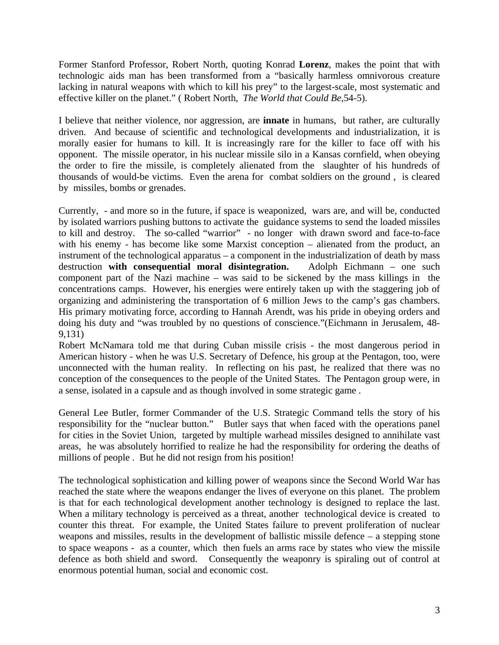Former Stanford Professor, Robert North, quoting Konrad **Lorenz**, makes the point that with technologic aids man has been transformed from a "basically harmless omnivorous creature lacking in natural weapons with which to kill his prey" to the largest-scale, most systematic and effective killer on the planet." ( Robert North, *The World that Could Be*,54-5).

I believe that neither violence, nor aggression, are **innate** in humans, but rather, are culturally driven. And because of scientific and technological developments and industrialization, it is morally easier for humans to kill. It is increasingly rare for the killer to face off with his opponent. The missile operator, in his nuclear missile silo in a Kansas cornfield, when obeying the order to fire the missile, is completely alienated from the slaughter of his hundreds of thousands of would-be victims. Even the arena for combat soldiers on the ground , is cleared by missiles, bombs or grenades.

Currently, - and more so in the future, if space is weaponized, wars are, and will be, conducted by isolated warriors pushing buttons to activate the guidance systems to send the loaded missiles to kill and destroy. The so-called "warrior" - no longer with drawn sword and face-to-face with his enemy - has become like some Marxist conception – alienated from the product, an instrument of the technological apparatus – a component in the industrialization of death by mass destruction **with consequential moral disintegration.** Adolph Eichmann – one such component part of the Nazi machine – was said to be sickened by the mass killings in the concentrations camps. However, his energies were entirely taken up with the staggering job of organizing and administering the transportation of 6 million Jews to the camp's gas chambers. His primary motivating force, according to Hannah Arendt, was his pride in obeying orders and doing his duty and "was troubled by no questions of conscience."(Eichmann in Jerusalem, 48- 9,131)

Robert McNamara told me that during Cuban missile crisis - the most dangerous period in American history - when he was U.S. Secretary of Defence, his group at the Pentagon, too, were unconnected with the human reality. In reflecting on his past, he realized that there was no conception of the consequences to the people of the United States. The Pentagon group were, in a sense, isolated in a capsule and as though involved in some strategic game .

General Lee Butler, former Commander of the U.S. Strategic Command tells the story of his responsibility for the "nuclear button." Butler says that when faced with the operations panel for cities in the Soviet Union, targeted by multiple warhead missiles designed to annihilate vast areas, he was absolutely horrified to realize he had the responsibility for ordering the deaths of millions of people . But he did not resign from his position!

The technological sophistication and killing power of weapons since the Second World War has reached the state where the weapons endanger the lives of everyone on this planet. The problem is that for each technological development another technology is designed to replace the last. When a military technology is perceived as a threat, another technological device is created to counter this threat. For example, the United States failure to prevent proliferation of nuclear weapons and missiles, results in the development of ballistic missile defence – a stepping stone to space weapons - as a counter, which then fuels an arms race by states who view the missile defence as both shield and sword. Consequently the weaponry is spiraling out of control at enormous potential human, social and economic cost.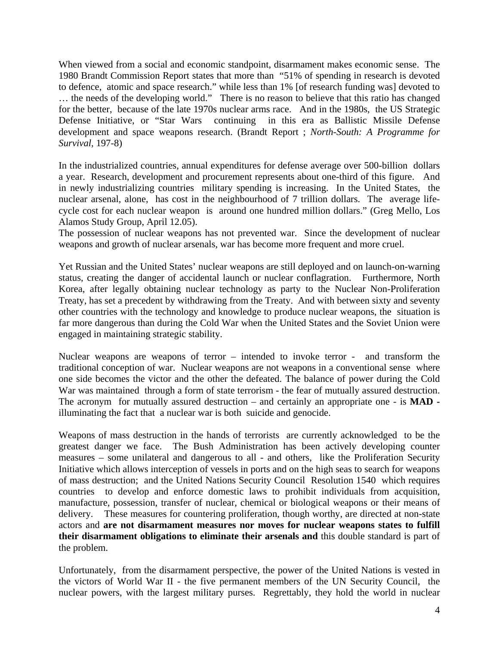When viewed from a social and economic standpoint, disarmament makes economic sense. The 1980 Brandt Commission Report states that more than "51% of spending in research is devoted to defence, atomic and space research." while less than 1% [of research funding was] devoted to … the needs of the developing world." There is no reason to believe that this ratio has changed for the better, because of the late 1970s nuclear arms race. And in the 1980s, the US Strategic Defense Initiative, or "Star Wars continuing in this era as Ballistic Missile Defense development and space weapons research. (Brandt Report ; *North-South: A Programme for Survival,* 197-8)

In the industrialized countries, annual expenditures for defense average over 500-billion dollars a year. Research, development and procurement represents about one-third of this figure. And in newly industrializing countries military spending is increasing. In the United States, the nuclear arsenal, alone, has cost in the neighbourhood of 7 trillion dollars. The average lifecycle cost for each nuclear weapon is around one hundred million dollars." (Greg Mello, Los Alamos Study Group, April 12.05).

The possession of nuclear weapons has not prevented war. Since the development of nuclear weapons and growth of nuclear arsenals, war has become more frequent and more cruel.

Yet Russian and the United States' nuclear weapons are still deployed and on launch-on-warning status, creating the danger of accidental launch or nuclear conflagration. Furthermore, North Korea, after legally obtaining nuclear technology as party to the Nuclear Non-Proliferation Treaty, has set a precedent by withdrawing from the Treaty. And with between sixty and seventy other countries with the technology and knowledge to produce nuclear weapons, the situation is far more dangerous than during the Cold War when the United States and the Soviet Union were engaged in maintaining strategic stability.

Nuclear weapons are weapons of terror – intended to invoke terror - and transform the traditional conception of war. Nuclear weapons are not weapons in a conventional sense where one side becomes the victor and the other the defeated. The balance of power during the Cold War was maintained through a form of state terrorism - the fear of mutually assured destruction. The acronym for mutually assured destruction – and certainly an appropriate one - is **MAD**  illuminating the fact that a nuclear war is both suicide and genocide.

Weapons of mass destruction in the hands of terrorists are currently acknowledged to be the greatest danger we face. The Bush Administration has been actively developing counter measures – some unilateral and dangerous to all - and others, like the Proliferation Security Initiative which allows interception of vessels in ports and on the high seas to search for weapons of mass destruction; and the United Nations Security Council Resolution 1540 which requires countries to develop and enforce domestic laws to prohibit individuals from acquisition, manufacture, possession, transfer of nuclear, chemical or biological weapons or their means of delivery. These measures for countering proliferation, though worthy, are directed at non-state actors and **are not disarmament measures nor moves for nuclear weapons states to fulfill their disarmament obligations to eliminate their arsenals and** this double standard is part of the problem.

Unfortunately, from the disarmament perspective, the power of the United Nations is vested in the victors of World War II - the five permanent members of the UN Security Council, the nuclear powers, with the largest military purses. Regrettably, they hold the world in nuclear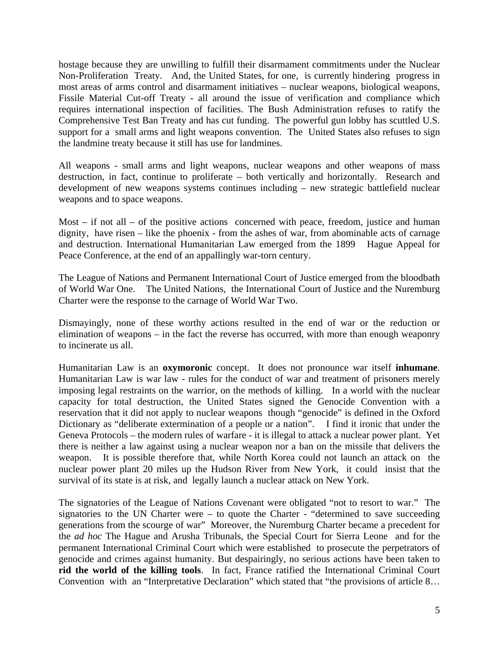hostage because they are unwilling to fulfill their disarmament commitments under the Nuclear Non-Proliferation Treaty. And, the United States, for one, is currently hindering progress in most areas of arms control and disarmament initiatives – nuclear weapons, biological weapons, Fissile Material Cut-off Treaty - all around the issue of verification and compliance which requires international inspection of facilities. The Bush Administration refuses to ratify the Comprehensive Test Ban Treaty and has cut funding. The powerful gun lobby has scuttled U.S. support for a small arms and light weapons convention. The United States also refuses to sign the landmine treaty because it still has use for landmines.

All weapons - small arms and light weapons, nuclear weapons and other weapons of mass destruction, in fact, continue to proliferate – both vertically and horizontally. Research and development of new weapons systems continues including – new strategic battlefield nuclear weapons and to space weapons.

Most – if not all – of the positive actions concerned with peace, freedom, justice and human dignity, have risen – like the phoenix - from the ashes of war, from abominable acts of carnage and destruction. International Humanitarian Law emerged from the 1899 Hague Appeal for Peace Conference, at the end of an appallingly war-torn century.

The League of Nations and Permanent International Court of Justice emerged from the bloodbath of World War One. The United Nations, the International Court of Justice and the Nuremburg Charter were the response to the carnage of World War Two.

Dismayingly, none of these worthy actions resulted in the end of war or the reduction or elimination of weapons – in the fact the reverse has occurred, with more than enough weaponry to incinerate us all.

Humanitarian Law is an **oxymoronic** concept. It does not pronounce war itself **inhumane**. Humanitarian Law is war law - rules for the conduct of war and treatment of prisoners merely imposing legal restraints on the warrior, on the methods of killing. In a world with the nuclear capacity for total destruction, the United States signed the Genocide Convention with a reservation that it did not apply to nuclear weapons though "genocide" is defined in the Oxford Dictionary as "deliberate extermination of a people or a nation". I find it ironic that under the Geneva Protocols – the modern rules of warfare - it is illegal to attack a nuclear power plant. Yet there is neither a law against using a nuclear weapon nor a ban on the missile that delivers the weapon. It is possible therefore that, while North Korea could not launch an attack on the nuclear power plant 20 miles up the Hudson River from New York, it could insist that the survival of its state is at risk, and legally launch a nuclear attack on New York.

The signatories of the League of Nations Covenant were obligated "not to resort to war." The signatories to the UN Charter were – to quote the Charter - "determined to save succeeding generations from the scourge of war" Moreover, the Nuremburg Charter became a precedent for the *ad hoc* The Hague and Arusha Tribunals, the Special Court for Sierra Leone and for the permanent International Criminal Court which were established to prosecute the perpetrators of genocide and crimes against humanity. But despairingly, no serious actions have been taken to **rid the world of the killing tools**. In fact, France ratified the International Criminal Court Convention with an "Interpretative Declaration" which stated that "the provisions of article 8…